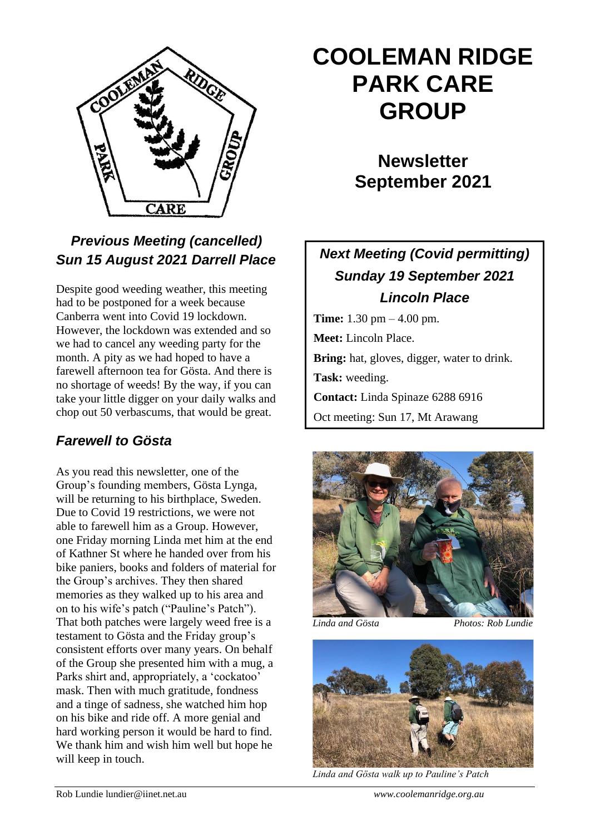

## *Previous Meeting (cancelled) Sun 15 August 2021 Darrell Place*

Despite good weeding weather, this meeting had to be postponed for a week because Canberra went into Covid 19 lockdown. However, the lockdown was extended and so we had to cancel any weeding party for the month. A pity as we had hoped to have a farewell afternoon tea for Gösta. And there is no shortage of weeds! By the way, if you can take your little digger on your daily walks and chop out 50 verbascums, that would be great.

### *Farewell to Gösta*

As you read this newsletter, one of the Group's founding members, Gösta Lynga, will be returning to his birthplace, Sweden. Due to Covid 19 restrictions, we were not able to farewell him as a Group. However, one Friday morning Linda met him at the end of Kathner St where he handed over from his bike paniers, books and folders of material for the Group's archives. They then shared memories as they walked up to his area and on to his wife's patch ("Pauline's Patch"). That both patches were largely weed free is a testament to Gösta and the Friday group's consistent efforts over many years. On behalf of the Group she presented him with a mug, a Parks shirt and, appropriately, a 'cockatoo' mask. Then with much gratitude, fondness and a tinge of sadness, she watched him hop on his bike and ride off. A more genial and hard working person it would be hard to find. We thank him and wish him well but hope he will keep in touch.

# **COOLEMAN RIDGE PARK CARE GROUP**

**Newsletter September 2021** 

## *Next Meeting (Covid permitting) Sunday 19 September 2021 Lincoln Place*

**Time:** 1.30 pm – 4.00 pm. **Meet:** Lincoln Place. **Bring:** hat, gloves, digger, water to drink. **Task:** weeding. **Contact:** Linda Spinaze 6288 6916 Oct meeting: Sun 17, Mt Arawang



*Linda and Gösta Photos: Rob Lundie*



*Linda and Gösta walk up to Pauline's Patch*